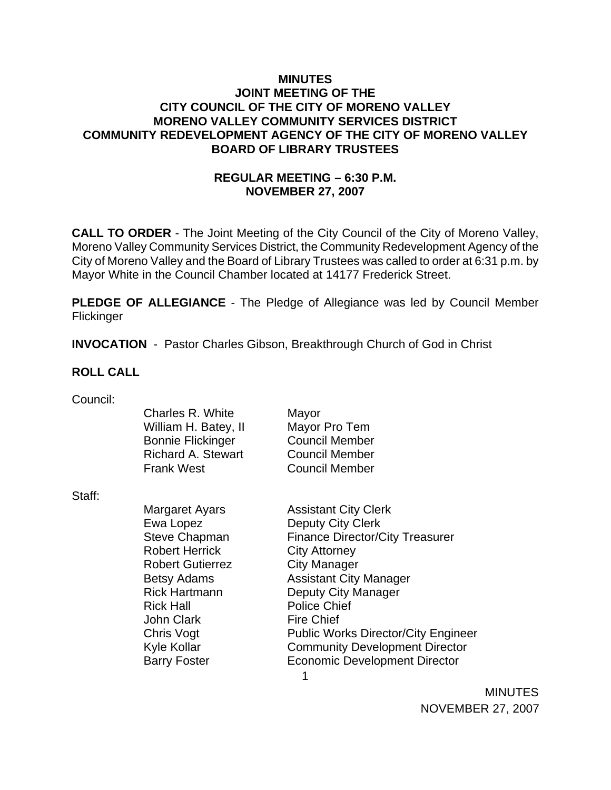## **MINUTES JOINT MEETING OF THE CITY COUNCIL OF THE CITY OF MORENO VALLEY MORENO VALLEY COMMUNITY SERVICES DISTRICT COMMUNITY REDEVELOPMENT AGENCY OF THE CITY OF MORENO VALLEY BOARD OF LIBRARY TRUSTEES**

# **REGULAR MEETING – 6:30 P.M. NOVEMBER 27, 2007**

**CALL TO ORDER** - The Joint Meeting of the City Council of the City of Moreno Valley, Moreno Valley Community Services District, the Community Redevelopment Agency of the City of Moreno Valley and the Board of Library Trustees was called to order at 6:31 p.m. by Mayor White in the Council Chamber located at 14177 Frederick Street.

**PLEDGE OF ALLEGIANCE** - The Pledge of Allegiance was led by Council Member **Flickinger** 

**INVOCATION** - Pastor Charles Gibson, Breakthrough Church of God in Christ

## **ROLL CALL**

| Council: |  |
|----------|--|
|          |  |

|        | Charles R. White          | Mayor                                  |
|--------|---------------------------|----------------------------------------|
|        | William H. Batey, II      | Mayor Pro Tem                          |
|        | <b>Bonnie Flickinger</b>  | <b>Council Member</b>                  |
|        | <b>Richard A. Stewart</b> | <b>Council Member</b>                  |
|        | <b>Frank West</b>         | <b>Council Member</b>                  |
| Staff: |                           |                                        |
|        | Margaret Ayars            | <b>Assistant City Clerk</b>            |
|        | Ewa Lopez                 | Deputy City Clerk                      |
|        | <b>Steve Chapman</b>      | <b>Finance Director/City Treasurer</b> |
|        | <b>Robert Herrick</b>     | <b>City Attorney</b>                   |
|        | <b>Robert Gutierrez</b>   | <b>City Manager</b>                    |
|        | <b>Betsy Adams</b>        | <b>Assistant City Manager</b>          |
|        | <b>Rick Hartmann</b>      | Deputy City Manager                    |
|        | <b>Rick Hall</b>          | <b>Police Chief</b>                    |

John Clark Fire Chief Chris Vogt Public Works Director/City Engineer Kyle Kollar **Community Development Director** Barry Foster **Economic Development Director** 

1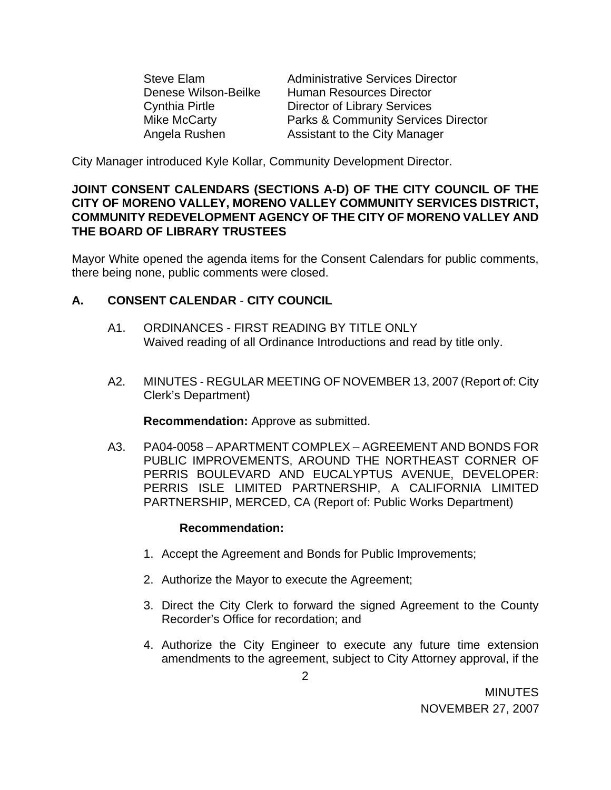Steve Elam Administrative Services Director Denese Wilson-Beilke Human Resources Director Cynthia Pirtle Director of Library Services Mike McCarty Parks & Community Services Director Angela Rushen Assistant to the City Manager

City Manager introduced Kyle Kollar, Community Development Director.

## **JOINT CONSENT CALENDARS (SECTIONS A-D) OF THE CITY COUNCIL OF THE CITY OF MORENO VALLEY, MORENO VALLEY COMMUNITY SERVICES DISTRICT, COMMUNITY REDEVELOPMENT AGENCY OF THE CITY OF MORENO VALLEY AND THE BOARD OF LIBRARY TRUSTEES**

Mayor White opened the agenda items for the Consent Calendars for public comments, there being none, public comments were closed.

## **A. CONSENT CALENDAR** - **CITY COUNCIL**

- A1. ORDINANCES FIRST READING BY TITLE ONLY Waived reading of all Ordinance Introductions and read by title only.
- A2. MINUTES REGULAR MEETING OF NOVEMBER 13, 2007 (Report of: City Clerk's Department)

**Recommendation:** Approve as submitted.

 A3. PA04-0058 – APARTMENT COMPLEX – AGREEMENT AND BONDS FOR PUBLIC IMPROVEMENTS, AROUND THE NORTHEAST CORNER OF PERRIS BOULEVARD AND EUCALYPTUS AVENUE, DEVELOPER: PERRIS ISLE LIMITED PARTNERSHIP, A CALIFORNIA LIMITED PARTNERSHIP, MERCED, CA (Report of: Public Works Department)

## **Recommendation:**

- 1. Accept the Agreement and Bonds for Public Improvements;
- 2. Authorize the Mayor to execute the Agreement;
- 3. Direct the City Clerk to forward the signed Agreement to the County Recorder's Office for recordation; and
- 4. Authorize the City Engineer to execute any future time extension amendments to the agreement, subject to City Attorney approval, if the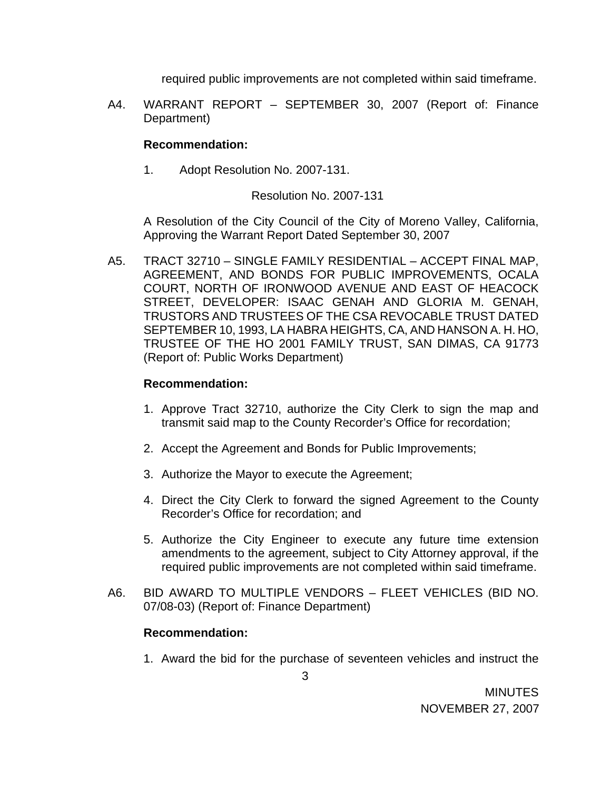required public improvements are not completed within said timeframe.

A4. WARRANT REPORT – SEPTEMBER 30, 2007 (Report of: Finance Department)

## **Recommendation:**

1. Adopt Resolution No. 2007-131.

#### Resolution No. 2007-131

 A Resolution of the City Council of the City of Moreno Valley, California, Approving the Warrant Report Dated September 30, 2007

A5. TRACT 32710 – SINGLE FAMILY RESIDENTIAL – ACCEPT FINAL MAP, AGREEMENT, AND BONDS FOR PUBLIC IMPROVEMENTS, OCALA COURT, NORTH OF IRONWOOD AVENUE AND EAST OF HEACOCK STREET, DEVELOPER: ISAAC GENAH AND GLORIA M. GENAH, TRUSTORS AND TRUSTEES OF THE CSA REVOCABLE TRUST DATED SEPTEMBER 10, 1993, LA HABRA HEIGHTS, CA, AND HANSON A. H. HO, TRUSTEE OF THE HO 2001 FAMILY TRUST, SAN DIMAS, CA 91773 (Report of: Public Works Department)

#### **Recommendation:**

- 1. Approve Tract 32710, authorize the City Clerk to sign the map and transmit said map to the County Recorder's Office for recordation;
- 2. Accept the Agreement and Bonds for Public Improvements;
- 3. Authorize the Mayor to execute the Agreement;
- 4. Direct the City Clerk to forward the signed Agreement to the County Recorder's Office for recordation; and
- 5. Authorize the City Engineer to execute any future time extension amendments to the agreement, subject to City Attorney approval, if the required public improvements are not completed within said timeframe.
- A6. BID AWARD TO MULTIPLE VENDORS FLEET VEHICLES (BID NO. 07/08-03) (Report of: Finance Department)

## **Recommendation:**

1. Award the bid for the purchase of seventeen vehicles and instruct the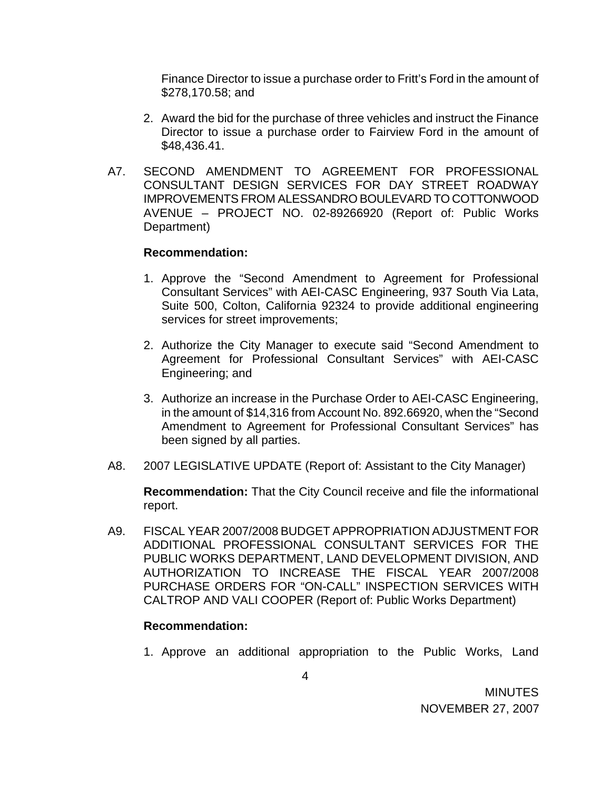Finance Director to issue a purchase order to Fritt's Ford in the amount of \$278,170.58; and

- 2. Award the bid for the purchase of three vehicles and instruct the Finance Director to issue a purchase order to Fairview Ford in the amount of \$48,436.41.
- A7. SECOND AMENDMENT TO AGREEMENT FOR PROFESSIONAL CONSULTANT DESIGN SERVICES FOR DAY STREET ROADWAY IMPROVEMENTS FROM ALESSANDRO BOULEVARD TO COTTONWOOD AVENUE – PROJECT NO. 02-89266920 (Report of: Public Works Department)

#### **Recommendation:**

- 1. Approve the "Second Amendment to Agreement for Professional Consultant Services" with AEI-CASC Engineering, 937 South Via Lata, Suite 500, Colton, California 92324 to provide additional engineering services for street improvements;
- 2. Authorize the City Manager to execute said "Second Amendment to Agreement for Professional Consultant Services" with AEI-CASC Engineering; and
- 3. Authorize an increase in the Purchase Order to AEI-CASC Engineering, in the amount of \$14,316 from Account No. 892.66920, when the "Second Amendment to Agreement for Professional Consultant Services" has been signed by all parties.
- A8. 2007 LEGISLATIVE UPDATE (Report of: Assistant to the City Manager)

 **Recommendation:** That the City Council receive and file the informational report.

A9. FISCAL YEAR 2007/2008 BUDGET APPROPRIATION ADJUSTMENT FOR ADDITIONAL PROFESSIONAL CONSULTANT SERVICES FOR THE PUBLIC WORKS DEPARTMENT, LAND DEVELOPMENT DIVISION, AND AUTHORIZATION TO INCREASE THE FISCAL YEAR 2007/2008 PURCHASE ORDERS FOR "ON-CALL" INSPECTION SERVICES WITH CALTROP AND VALI COOPER (Report of: Public Works Department)

## **Recommendation:**

1. Approve an additional appropriation to the Public Works, Land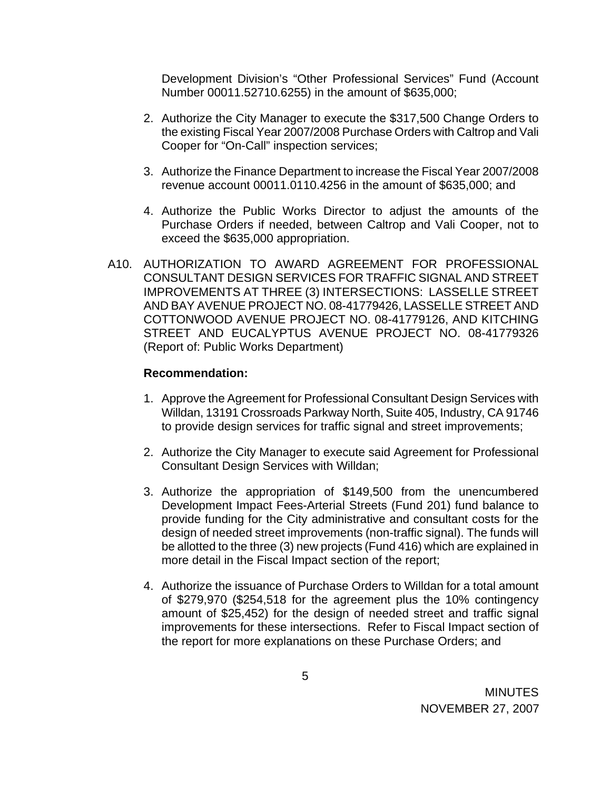Development Division's "Other Professional Services" Fund (Account Number 00011.52710.6255) in the amount of \$635,000;

- 2. Authorize the City Manager to execute the \$317,500 Change Orders to the existing Fiscal Year 2007/2008 Purchase Orders with Caltrop and Vali Cooper for "On-Call" inspection services;
- 3. Authorize the Finance Department to increase the Fiscal Year 2007/2008 revenue account 00011.0110.4256 in the amount of \$635,000; and
- 4. Authorize the Public Works Director to adjust the amounts of the Purchase Orders if needed, between Caltrop and Vali Cooper, not to exceed the \$635,000 appropriation.
- A10. AUTHORIZATION TO AWARD AGREEMENT FOR PROFESSIONAL CONSULTANT DESIGN SERVICES FOR TRAFFIC SIGNAL AND STREET IMPROVEMENTS AT THREE (3) INTERSECTIONS: LASSELLE STREET AND BAY AVENUE PROJECT NO. 08-41779426, LASSELLE STREET AND COTTONWOOD AVENUE PROJECT NO. 08-41779126, AND KITCHING STREET AND EUCALYPTUS AVENUE PROJECT NO. 08-41779326 (Report of: Public Works Department)

#### **Recommendation:**

- 1. Approve the Agreement for Professional Consultant Design Services with Willdan, 13191 Crossroads Parkway North, Suite 405, Industry, CA 91746 to provide design services for traffic signal and street improvements;
- 2. Authorize the City Manager to execute said Agreement for Professional Consultant Design Services with Willdan;
- 3. Authorize the appropriation of \$149,500 from the unencumbered Development Impact Fees-Arterial Streets (Fund 201) fund balance to provide funding for the City administrative and consultant costs for the design of needed street improvements (non-traffic signal). The funds will be allotted to the three (3) new projects (Fund 416) which are explained in more detail in the Fiscal Impact section of the report;
- 4. Authorize the issuance of Purchase Orders to Willdan for a total amount of \$279,970 (\$254,518 for the agreement plus the 10% contingency amount of \$25,452) for the design of needed street and traffic signal improvements for these intersections. Refer to Fiscal Impact section of the report for more explanations on these Purchase Orders; and

5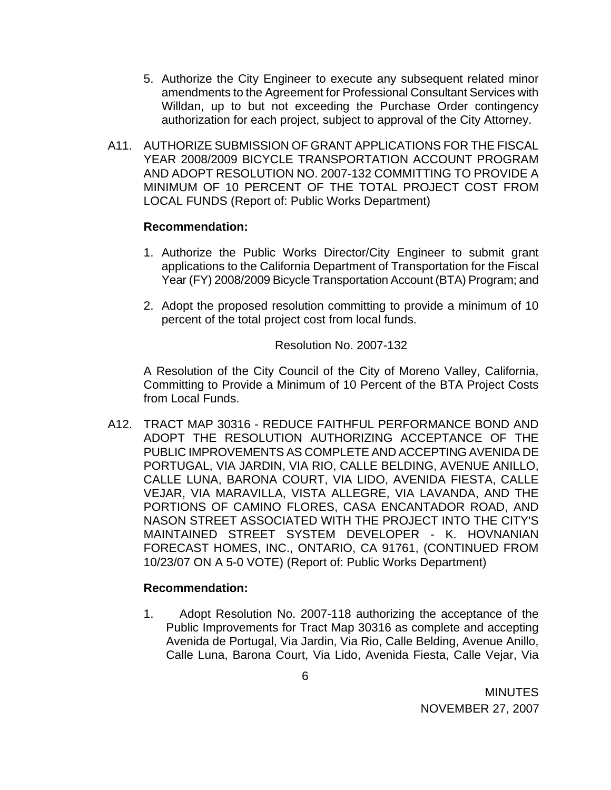- 5. Authorize the City Engineer to execute any subsequent related minor amendments to the Agreement for Professional Consultant Services with Willdan, up to but not exceeding the Purchase Order contingency authorization for each project, subject to approval of the City Attorney.
- A11. AUTHORIZE SUBMISSION OF GRANT APPLICATIONS FOR THE FISCAL YEAR 2008/2009 BICYCLE TRANSPORTATION ACCOUNT PROGRAM AND ADOPT RESOLUTION NO. 2007-132 COMMITTING TO PROVIDE A MINIMUM OF 10 PERCENT OF THE TOTAL PROJECT COST FROM LOCAL FUNDS (Report of: Public Works Department)

## **Recommendation:**

- 1. Authorize the Public Works Director/City Engineer to submit grant applications to the California Department of Transportation for the Fiscal Year (FY) 2008/2009 Bicycle Transportation Account (BTA) Program; and
- 2. Adopt the proposed resolution committing to provide a minimum of 10 percent of the total project cost from local funds.

## Resolution No. 2007-132

 A Resolution of the City Council of the City of Moreno Valley, California, Committing to Provide a Minimum of 10 Percent of the BTA Project Costs from Local Funds.

A12. TRACT MAP 30316 - REDUCE FAITHFUL PERFORMANCE BOND AND ADOPT THE RESOLUTION AUTHORIZING ACCEPTANCE OF THE PUBLIC IMPROVEMENTS AS COMPLETE AND ACCEPTING AVENIDA DE PORTUGAL, VIA JARDIN, VIA RIO, CALLE BELDING, AVENUE ANILLO, CALLE LUNA, BARONA COURT, VIA LIDO, AVENIDA FIESTA, CALLE VEJAR, VIA MARAVILLA, VISTA ALLEGRE, VIA LAVANDA, AND THE PORTIONS OF CAMINO FLORES, CASA ENCANTADOR ROAD, AND NASON STREET ASSOCIATED WITH THE PROJECT INTO THE CITY'S MAINTAINED STREET SYSTEM DEVELOPER - K. HOVNANIAN FORECAST HOMES, INC., ONTARIO, CA 91761, (CONTINUED FROM 10/23/07 ON A 5-0 VOTE) (Report of: Public Works Department)

# **Recommendation:**

1. Adopt Resolution No. 2007-118 authorizing the acceptance of the Public Improvements for Tract Map 30316 as complete and accepting Avenida de Portugal, Via Jardin, Via Rio, Calle Belding, Avenue Anillo, Calle Luna, Barona Court, Via Lido, Avenida Fiesta, Calle Vejar, Via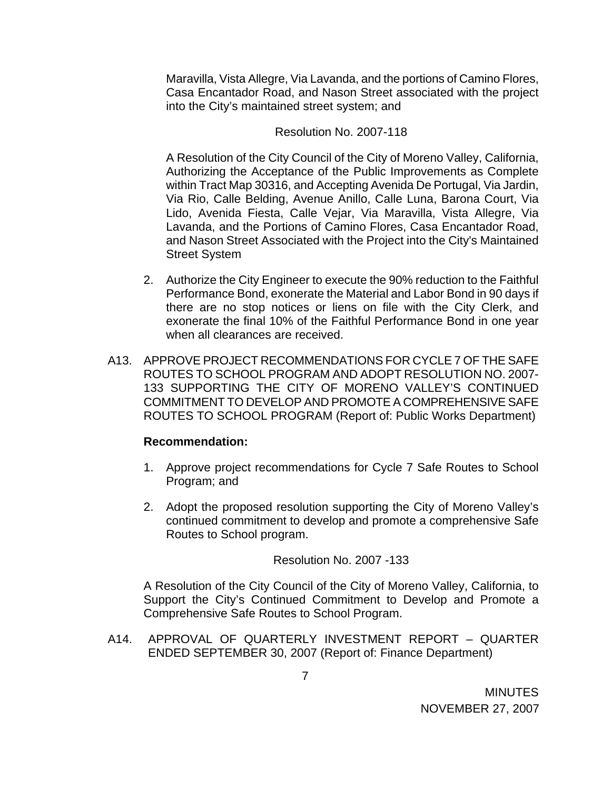Maravilla, Vista Allegre, Via Lavanda, and the portions of Camino Flores, Casa Encantador Road, and Nason Street associated with the project into the City's maintained street system; and

#### Resolution No. 2007-118

A Resolution of the City Council of the City of Moreno Valley, California, Authorizing the Acceptance of the Public Improvements as Complete within Tract Map 30316, and Accepting Avenida De Portugal, Via Jardin, Via Rio, Calle Belding, Avenue Anillo, Calle Luna, Barona Court, Via Lido, Avenida Fiesta, Calle Vejar, Via Maravilla, Vista Allegre, Via Lavanda, and the Portions of Camino Flores, Casa Encantador Road, and Nason Street Associated with the Project into the City's Maintained Street System

- 2. Authorize the City Engineer to execute the 90% reduction to the Faithful Performance Bond, exonerate the Material and Labor Bond in 90 days if there are no stop notices or liens on file with the City Clerk, and exonerate the final 10% of the Faithful Performance Bond in one year when all clearances are received.
- A13. APPROVE PROJECT RECOMMENDATIONS FOR CYCLE 7 OF THE SAFE ROUTES TO SCHOOL PROGRAM AND ADOPT RESOLUTION NO. 2007- 133 SUPPORTING THE CITY OF MORENO VALLEY'S CONTINUED COMMITMENT TO DEVELOP AND PROMOTE A COMPREHENSIVE SAFE ROUTES TO SCHOOL PROGRAM (Report of: Public Works Department)

## **Recommendation:**

- 1. Approve project recommendations for Cycle 7 Safe Routes to School Program; and
- 2. Adopt the proposed resolution supporting the City of Moreno Valley's continued commitment to develop and promote a comprehensive Safe Routes to School program.

Resolution No. 2007 -133

A Resolution of the City Council of the City of Moreno Valley, California, to Support the City's Continued Commitment to Develop and Promote a Comprehensive Safe Routes to School Program.

A14. APPROVAL OF QUARTERLY INVESTMENT REPORT – QUARTER ENDED SEPTEMBER 30, 2007 (Report of: Finance Department)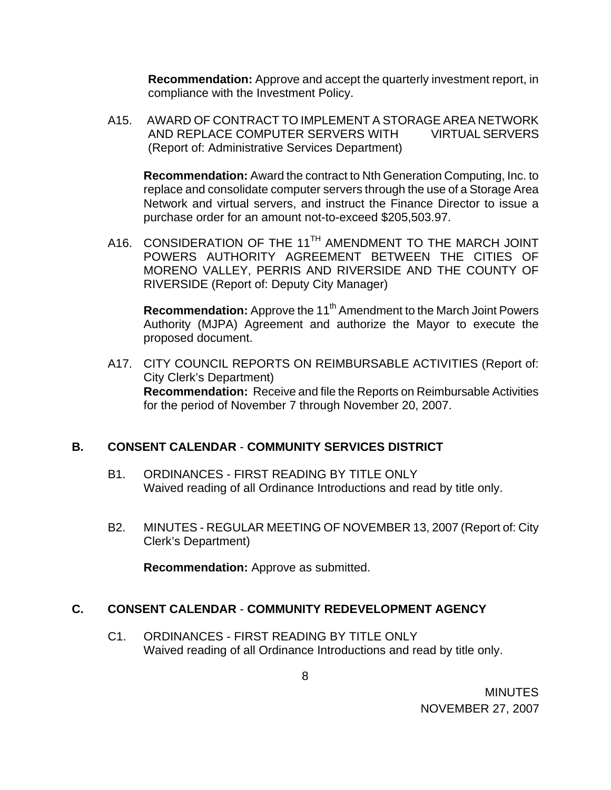**Recommendation:** Approve and accept the quarterly investment report, in compliance with the Investment Policy.

 A15. AWARD OF CONTRACT TO IMPLEMENT A STORAGE AREA NETWORK AND REPLACE COMPUTER SERVERS WITH VIRTUAL SERVERS (Report of: Administrative Services Department)

 **Recommendation:** Award the contract to Nth Generation Computing, Inc. to replace and consolidate computer servers through the use of a Storage Area Network and virtual servers, and instruct the Finance Director to issue a purchase order for an amount not-to-exceed \$205,503.97.

A16. CONSIDERATION OF THE 11<sup>TH</sup> AMENDMENT TO THE MARCH JOINT POWERS AUTHORITY AGREEMENT BETWEEN THE CITIES OF MORENO VALLEY, PERRIS AND RIVERSIDE AND THE COUNTY OF RIVERSIDE (Report of: Deputy City Manager)

**Recommendation:** Approve the 11<sup>th</sup> Amendment to the March Joint Powers Authority (MJPA) Agreement and authorize the Mayor to execute the proposed document.

 A17. CITY COUNCIL REPORTS ON REIMBURSABLE ACTIVITIES (Report of: City Clerk's Department) **Recommendation:** Receive and file the Reports on Reimbursable Activities for the period of November 7 through November 20, 2007.

# **B. CONSENT CALENDAR** - **COMMUNITY SERVICES DISTRICT**

- B1. ORDINANCES FIRST READING BY TITLE ONLY Waived reading of all Ordinance Introductions and read by title only.
- B2. MINUTES REGULAR MEETING OF NOVEMBER 13, 2007 (Report of: City Clerk's Department)

**Recommendation:** Approve as submitted.

## **C. CONSENT CALENDAR** - **COMMUNITY REDEVELOPMENT AGENCY**

C1. ORDINANCES - FIRST READING BY TITLE ONLY Waived reading of all Ordinance Introductions and read by title only.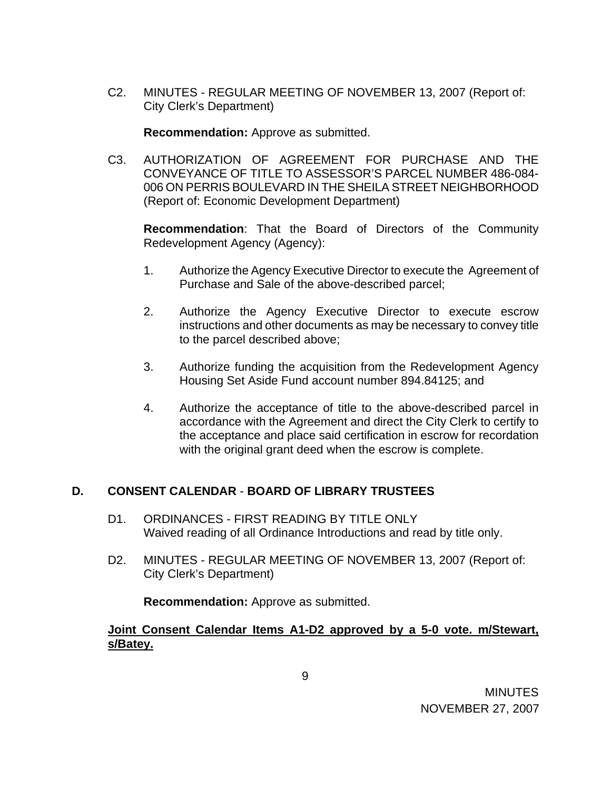C2. MINUTES - REGULAR MEETING OF NOVEMBER 13, 2007 (Report of: City Clerk's Department)

**Recommendation:** Approve as submitted.

C3. AUTHORIZATION OF AGREEMENT FOR PURCHASE AND THE CONVEYANCE OF TITLE TO ASSESSOR'S PARCEL NUMBER 486-084- 006 ON PERRIS BOULEVARD IN THE SHEILA STREET NEIGHBORHOOD (Report of: Economic Development Department)

**Recommendation**: That the Board of Directors of the Community Redevelopment Agency (Agency):

- 1. Authorize the Agency Executive Director to execute the Agreement of Purchase and Sale of the above-described parcel;
- 2. Authorize the Agency Executive Director to execute escrow instructions and other documents as may be necessary to convey title to the parcel described above;
- 3. Authorize funding the acquisition from the Redevelopment Agency Housing Set Aside Fund account number 894.84125; and
- 4. Authorize the acceptance of title to the above-described parcel in accordance with the Agreement and direct the City Clerk to certify to the acceptance and place said certification in escrow for recordation with the original grant deed when the escrow is complete.

# **D. CONSENT CALENDAR** - **BOARD OF LIBRARY TRUSTEES**

- D1. ORDINANCES FIRST READING BY TITLE ONLY Waived reading of all Ordinance Introductions and read by title only.
- D2. MINUTES REGULAR MEETING OF NOVEMBER 13, 2007 (Report of: City Clerk's Department)

**Recommendation:** Approve as submitted.

# **Joint Consent Calendar Items A1-D2 approved by a 5-0 vote. m/Stewart, s/Batey.**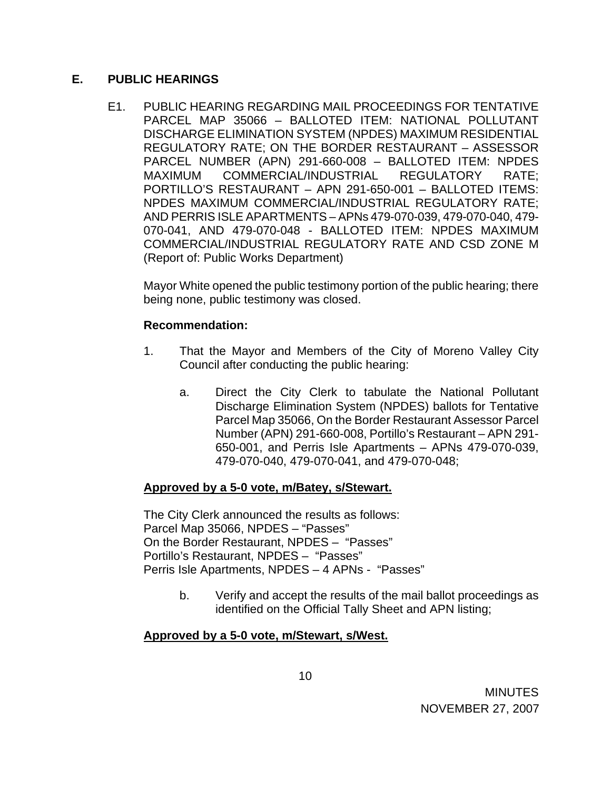## **E. PUBLIC HEARINGS**

E1. PUBLIC HEARING REGARDING MAIL PROCEEDINGS FOR TENTATIVE PARCEL MAP 35066 – BALLOTED ITEM: NATIONAL POLLUTANT DISCHARGE ELIMINATION SYSTEM (NPDES) MAXIMUM RESIDENTIAL REGULATORY RATE; ON THE BORDER RESTAURANT – ASSESSOR PARCEL NUMBER (APN) 291-660-008 – BALLOTED ITEM: NPDES MAXIMUM COMMERCIAL/INDUSTRIAL REGULATORY RATE; PORTILLO'S RESTAURANT – APN 291-650-001 – BALLOTED ITEMS: NPDES MAXIMUM COMMERCIAL/INDUSTRIAL REGULATORY RATE; AND PERRIS ISLE APARTMENTS – APNs 479-070-039, 479-070-040, 479- 070-041, AND 479-070-048 - BALLOTED ITEM: NPDES MAXIMUM COMMERCIAL/INDUSTRIAL REGULATORY RATE AND CSD ZONE M (Report of: Public Works Department)

 Mayor White opened the public testimony portion of the public hearing; there being none, public testimony was closed.

# **Recommendation:**

- 1. That the Mayor and Members of the City of Moreno Valley City Council after conducting the public hearing:
	- a. Direct the City Clerk to tabulate the National Pollutant Discharge Elimination System (NPDES) ballots for Tentative Parcel Map 35066, On the Border Restaurant Assessor Parcel Number (APN) 291-660-008, Portillo's Restaurant – APN 291- 650-001, and Perris Isle Apartments – APNs 479-070-039, 479-070-040, 479-070-041, and 479-070-048;

# **Approved by a 5-0 vote, m/Batey, s/Stewart.**

The City Clerk announced the results as follows: Parcel Map 35066, NPDES – "Passes" On the Border Restaurant, NPDES – "Passes" Portillo's Restaurant, NPDES – "Passes" Perris Isle Apartments, NPDES – 4 APNs - "Passes"

> b. Verify and accept the results of the mail ballot proceedings as identified on the Official Tally Sheet and APN listing;

# **Approved by a 5-0 vote, m/Stewart, s/West.**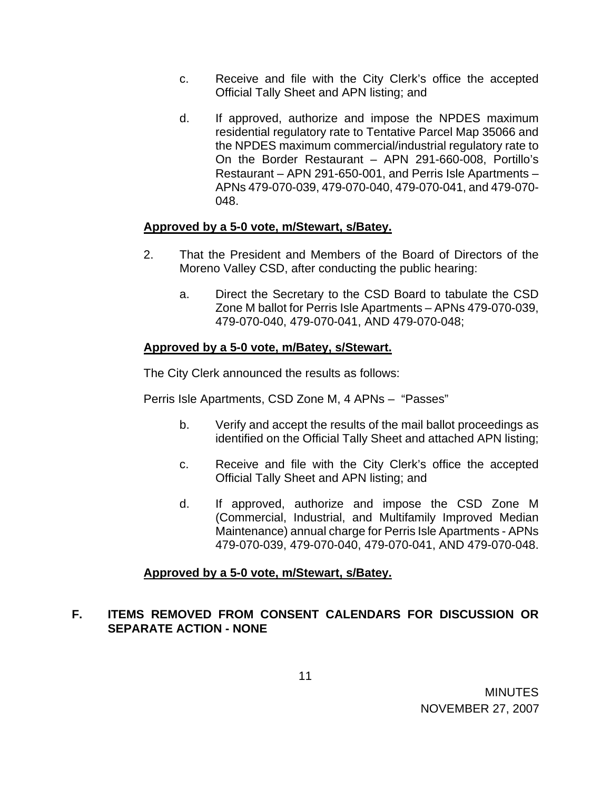- c. Receive and file with the City Clerk's office the accepted Official Tally Sheet and APN listing; and
- d. If approved, authorize and impose the NPDES maximum residential regulatory rate to Tentative Parcel Map 35066 and the NPDES maximum commercial/industrial regulatory rate to On the Border Restaurant – APN 291-660-008, Portillo's Restaurant – APN 291-650-001, and Perris Isle Apartments – APNs 479-070-039, 479-070-040, 479-070-041, and 479-070- 048.

# **Approved by a 5-0 vote, m/Stewart, s/Batey.**

- 2. That the President and Members of the Board of Directors of the Moreno Valley CSD, after conducting the public hearing:
	- a. Direct the Secretary to the CSD Board to tabulate the CSD Zone M ballot for Perris Isle Apartments – APNs 479-070-039, 479-070-040, 479-070-041, AND 479-070-048;

# **Approved by a 5-0 vote, m/Batey, s/Stewart.**

The City Clerk announced the results as follows:

Perris Isle Apartments, CSD Zone M, 4 APNs – "Passes"

- b. Verify and accept the results of the mail ballot proceedings as identified on the Official Tally Sheet and attached APN listing;
- c. Receive and file with the City Clerk's office the accepted Official Tally Sheet and APN listing; and
- d. If approved, authorize and impose the CSD Zone M (Commercial, Industrial, and Multifamily Improved Median Maintenance) annual charge for Perris Isle Apartments - APNs 479-070-039, 479-070-040, 479-070-041, AND 479-070-048.

# **Approved by a 5-0 vote, m/Stewart, s/Batey.**

# **F. ITEMS REMOVED FROM CONSENT CALENDARS FOR DISCUSSION OR SEPARATE ACTION - NONE**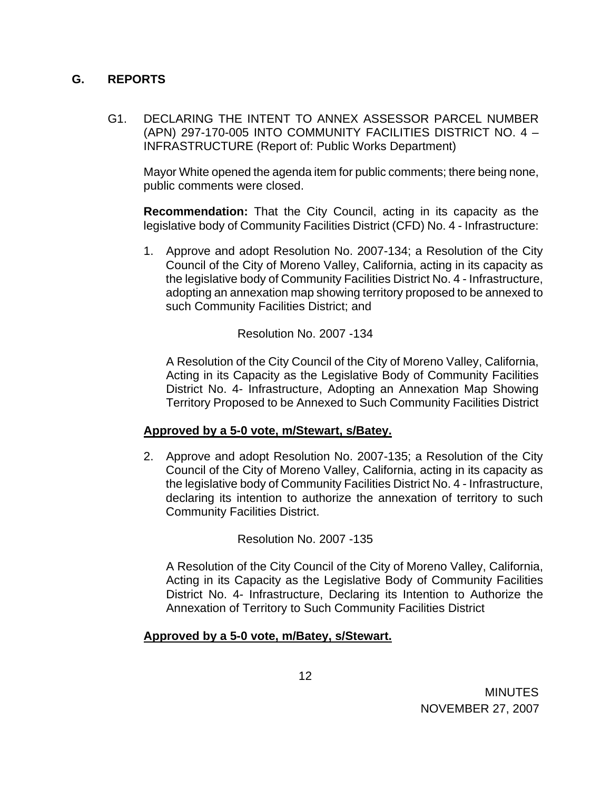# **G. REPORTS**

 G1. DECLARING THE INTENT TO ANNEX ASSESSOR PARCEL NUMBER (APN) 297-170-005 INTO COMMUNITY FACILITIES DISTRICT NO. 4 – INFRASTRUCTURE (Report of: Public Works Department)

 Mayor White opened the agenda item for public comments; there being none, public comments were closed.

**Recommendation:** That the City Council, acting in its capacity as the legislative body of Community Facilities District (CFD) No. 4 - Infrastructure:

1. Approve and adopt Resolution No. 2007-134; a Resolution of the City Council of the City of Moreno Valley, California, acting in its capacity as the legislative body of Community Facilities District No. 4 - Infrastructure, adopting an annexation map showing territory proposed to be annexed to such Community Facilities District; and

Resolution No. 2007 -134

A Resolution of the City Council of the City of Moreno Valley, California, Acting in its Capacity as the Legislative Body of Community Facilities District No. 4- Infrastructure, Adopting an Annexation Map Showing Territory Proposed to be Annexed to Such Community Facilities District

## **Approved by a 5-0 vote, m/Stewart, s/Batey.**

2. Approve and adopt Resolution No. 2007-135; a Resolution of the City Council of the City of Moreno Valley, California, acting in its capacity as the legislative body of Community Facilities District No. 4 - Infrastructure, declaring its intention to authorize the annexation of territory to such Community Facilities District.

Resolution No. 2007 -135

A Resolution of the City Council of the City of Moreno Valley, California, Acting in its Capacity as the Legislative Body of Community Facilities District No. 4- Infrastructure, Declaring its Intention to Authorize the Annexation of Territory to Such Community Facilities District

# **Approved by a 5-0 vote, m/Batey, s/Stewart.**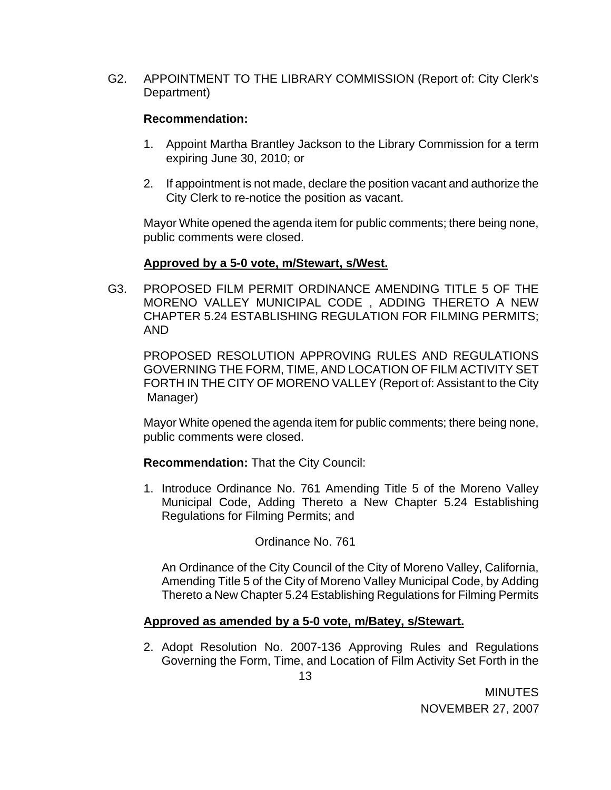G2. APPOINTMENT TO THE LIBRARY COMMISSION (Report of: City Clerk's Department)

# **Recommendation:**

- 1. Appoint Martha Brantley Jackson to the Library Commission for a term expiring June 30, 2010; or
- 2. If appointment is not made, declare the position vacant and authorize the City Clerk to re-notice the position as vacant.

Mayor White opened the agenda item for public comments; there being none, public comments were closed.

# **Approved by a 5-0 vote, m/Stewart, s/West.**

G3. PROPOSED FILM PERMIT ORDINANCE AMENDING TITLE 5 OF THE MORENO VALLEY MUNICIPAL CODE , ADDING THERETO A NEW CHAPTER 5.24 ESTABLISHING REGULATION FOR FILMING PERMITS; AND

 PROPOSED RESOLUTION APPROVING RULES AND REGULATIONS GOVERNING THE FORM, TIME, AND LOCATION OF FILM ACTIVITY SET FORTH IN THE CITY OF MORENO VALLEY (Report of: Assistant to the City Manager)

 Mayor White opened the agenda item for public comments; there being none, public comments were closed.

## **Recommendation:** That the City Council:

1. Introduce Ordinance No. 761 Amending Title 5 of the Moreno Valley Municipal Code, Adding Thereto a New Chapter 5.24 Establishing Regulations for Filming Permits; and

# Ordinance No. 761

An Ordinance of the City Council of the City of Moreno Valley, California, Amending Title 5 of the City of Moreno Valley Municipal Code, by Adding Thereto a New Chapter 5.24 Establishing Regulations for Filming Permits

# **Approved as amended by a 5-0 vote, m/Batey, s/Stewart.**

2. Adopt Resolution No. 2007-136 Approving Rules and Regulations Governing the Form, Time, and Location of Film Activity Set Forth in the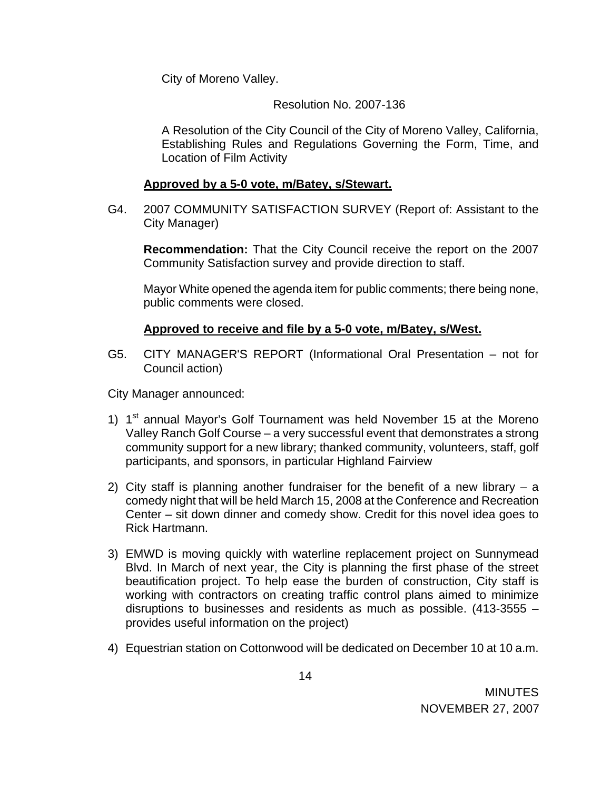City of Moreno Valley.

Resolution No. 2007-136

A Resolution of the City Council of the City of Moreno Valley, California, Establishing Rules and Regulations Governing the Form, Time, and Location of Film Activity

# **Approved by a 5-0 vote, m/Batey, s/Stewart.**

G4. 2007 COMMUNITY SATISFACTION SURVEY (Report of: Assistant to the City Manager)

**Recommendation:** That the City Council receive the report on the 2007 Community Satisfaction survey and provide direction to staff.

Mayor White opened the agenda item for public comments; there being none, public comments were closed.

# **Approved to receive and file by a 5-0 vote, m/Batey, s/West.**

G5. CITY MANAGER'S REPORT (Informational Oral Presentation – not for Council action)

City Manager announced:

- 1)  $1<sup>st</sup>$  annual Mayor's Golf Tournament was held November 15 at the Moreno Valley Ranch Golf Course – a very successful event that demonstrates a strong community support for a new library; thanked community, volunteers, staff, golf participants, and sponsors, in particular Highland Fairview
- 2) City staff is planning another fundraiser for the benefit of a new library a comedy night that will be held March 15, 2008 at the Conference and Recreation Center – sit down dinner and comedy show. Credit for this novel idea goes to Rick Hartmann.
- 3) EMWD is moving quickly with waterline replacement project on Sunnymead Blvd. In March of next year, the City is planning the first phase of the street beautification project. To help ease the burden of construction, City staff is working with contractors on creating traffic control plans aimed to minimize disruptions to businesses and residents as much as possible. (413-3555 – provides useful information on the project)
- 4) Equestrian station on Cottonwood will be dedicated on December 10 at 10 a.m.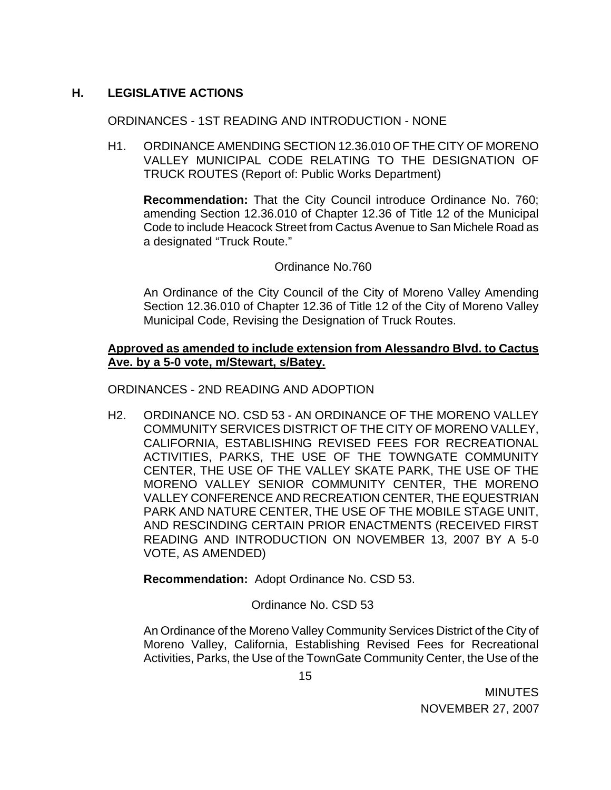# **H. LEGISLATIVE ACTIONS**

## ORDINANCES - 1ST READING AND INTRODUCTION - NONE

H1. ORDINANCE AMENDING SECTION 12.36.010 OF THE CITY OF MORENO VALLEY MUNICIPAL CODE RELATING TO THE DESIGNATION OF TRUCK ROUTES (Report of: Public Works Department)

**Recommendation:** That the City Council introduce Ordinance No. 760; amending Section 12.36.010 of Chapter 12.36 of Title 12 of the Municipal Code to include Heacock Street from Cactus Avenue to San Michele Road as a designated "Truck Route."

# Ordinance No.760

An Ordinance of the City Council of the City of Moreno Valley Amending Section 12.36.010 of Chapter 12.36 of Title 12 of the City of Moreno Valley Municipal Code, Revising the Designation of Truck Routes.

## **Approved as amended to include extension from Alessandro Blvd. to Cactus Ave. by a 5-0 vote, m/Stewart, s/Batey.**

ORDINANCES - 2ND READING AND ADOPTION

H2. ORDINANCE NO. CSD 53 - AN ORDINANCE OF THE MORENO VALLEY COMMUNITY SERVICES DISTRICT OF THE CITY OF MORENO VALLEY, CALIFORNIA, ESTABLISHING REVISED FEES FOR RECREATIONAL ACTIVITIES, PARKS, THE USE OF THE TOWNGATE COMMUNITY CENTER, THE USE OF THE VALLEY SKATE PARK, THE USE OF THE MORENO VALLEY SENIOR COMMUNITY CENTER, THE MORENO VALLEY CONFERENCE AND RECREATION CENTER, THE EQUESTRIAN PARK AND NATURE CENTER, THE USE OF THE MOBILE STAGE UNIT, AND RESCINDING CERTAIN PRIOR ENACTMENTS (RECEIVED FIRST READING AND INTRODUCTION ON NOVEMBER 13, 2007 BY A 5-0 VOTE, AS AMENDED)

**Recommendation:** Adopt Ordinance No. CSD 53.

## Ordinance No. CSD 53

An Ordinance of the Moreno Valley Community Services District of the City of Moreno Valley, California, Establishing Revised Fees for Recreational Activities, Parks, the Use of the TownGate Community Center, the Use of the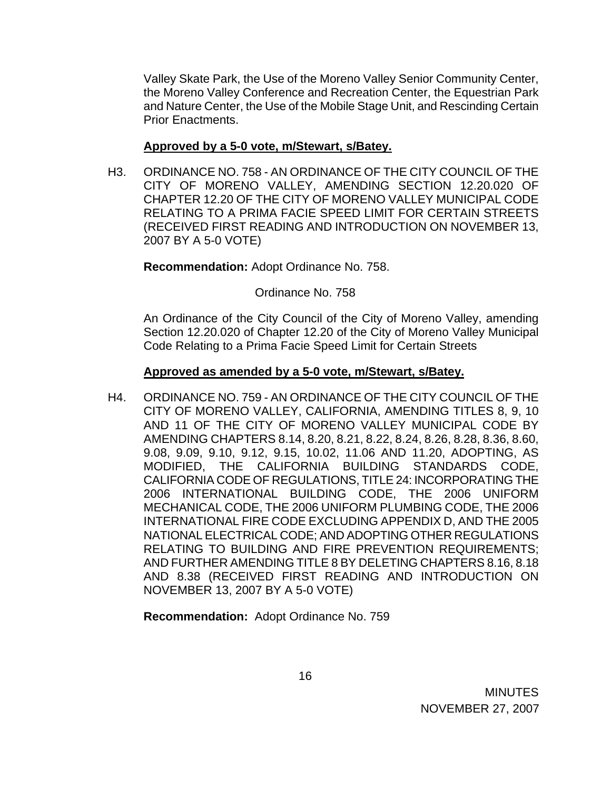Valley Skate Park, the Use of the Moreno Valley Senior Community Center, the Moreno Valley Conference and Recreation Center, the Equestrian Park and Nature Center, the Use of the Mobile Stage Unit, and Rescinding Certain Prior Enactments.

#### **Approved by a 5-0 vote, m/Stewart, s/Batey.**

H3. ORDINANCE NO. 758 - AN ORDINANCE OF THE CITY COUNCIL OF THE CITY OF MORENO VALLEY, AMENDING SECTION 12.20.020 OF CHAPTER 12.20 OF THE CITY OF MORENO VALLEY MUNICIPAL CODE RELATING TO A PRIMA FACIE SPEED LIMIT FOR CERTAIN STREETS (RECEIVED FIRST READING AND INTRODUCTION ON NOVEMBER 13, 2007 BY A 5-0 VOTE)

**Recommendation:** Adopt Ordinance No. 758.

Ordinance No. 758

An Ordinance of the City Council of the City of Moreno Valley, amending Section 12.20.020 of Chapter 12.20 of the City of Moreno Valley Municipal Code Relating to a Prima Facie Speed Limit for Certain Streets

#### **Approved as amended by a 5-0 vote, m/Stewart, s/Batey.**

H4. ORDINANCE NO. 759 - AN ORDINANCE OF THE CITY COUNCIL OF THE CITY OF MORENO VALLEY, CALIFORNIA, AMENDING TITLES 8, 9, 10 AND 11 OF THE CITY OF MORENO VALLEY MUNICIPAL CODE BY AMENDING CHAPTERS 8.14, 8.20, 8.21, 8.22, 8.24, 8.26, 8.28, 8.36, 8.60, 9.08, 9.09, 9.10, 9.12, 9.15, 10.02, 11.06 AND 11.20, ADOPTING, AS MODIFIED, THE CALIFORNIA BUILDING STANDARDS CODE, CALIFORNIA CODE OF REGULATIONS, TITLE 24: INCORPORATING THE 2006 INTERNATIONAL BUILDING CODE, THE 2006 UNIFORM MECHANICAL CODE, THE 2006 UNIFORM PLUMBING CODE, THE 2006 INTERNATIONAL FIRE CODE EXCLUDING APPENDIX D, AND THE 2005 NATIONAL ELECTRICAL CODE; AND ADOPTING OTHER REGULATIONS RELATING TO BUILDING AND FIRE PREVENTION REQUIREMENTS; AND FURTHER AMENDING TITLE 8 BY DELETING CHAPTERS 8.16, 8.18 AND 8.38 (RECEIVED FIRST READING AND INTRODUCTION ON NOVEMBER 13, 2007 BY A 5-0 VOTE)

**Recommendation:** Adopt Ordinance No. 759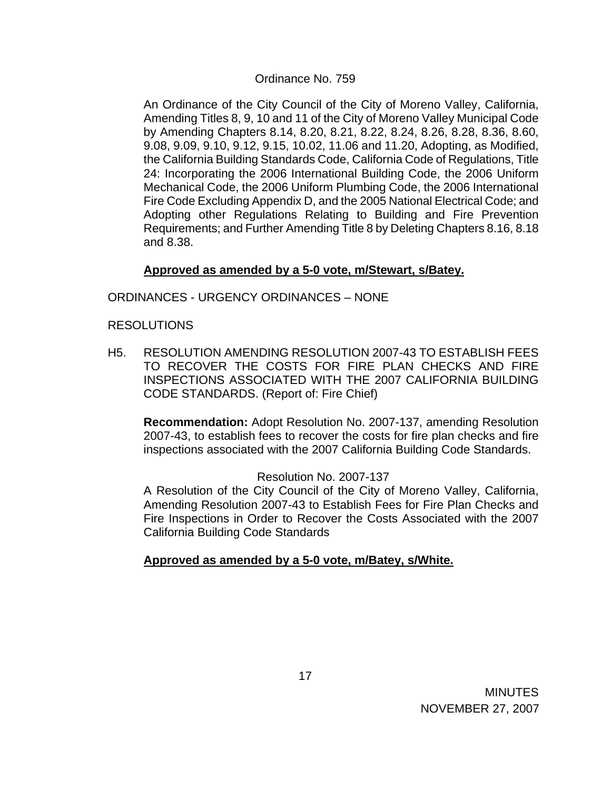#### Ordinance No. 759

 An Ordinance of the City Council of the City of Moreno Valley, California, Amending Titles 8, 9, 10 and 11 of the City of Moreno Valley Municipal Code by Amending Chapters 8.14, 8.20, 8.21, 8.22, 8.24, 8.26, 8.28, 8.36, 8.60, 9.08, 9.09, 9.10, 9.12, 9.15, 10.02, 11.06 and 11.20, Adopting, as Modified, the California Building Standards Code, California Code of Regulations, Title 24: Incorporating the 2006 International Building Code, the 2006 Uniform Mechanical Code, the 2006 Uniform Plumbing Code, the 2006 International Fire Code Excluding Appendix D, and the 2005 National Electrical Code; and Adopting other Regulations Relating to Building and Fire Prevention Requirements; and Further Amending Title 8 by Deleting Chapters 8.16, 8.18 and 8.38.

## **Approved as amended by a 5-0 vote, m/Stewart, s/Batey.**

#### ORDINANCES - URGENCY ORDINANCES – NONE

#### RESOLUTIONS

H5. RESOLUTION AMENDING RESOLUTION 2007-43 TO ESTABLISH FEES TO RECOVER THE COSTS FOR FIRE PLAN CHECKS AND FIRE INSPECTIONS ASSOCIATED WITH THE 2007 CALIFORNIA BUILDING CODE STANDARDS. (Report of: Fire Chief)

 **Recommendation:** Adopt Resolution No. 2007-137, amending Resolution 2007-43, to establish fees to recover the costs for fire plan checks and fire inspections associated with the 2007 California Building Code Standards.

#### Resolution No. 2007-137

A Resolution of the City Council of the City of Moreno Valley, California, Amending Resolution 2007-43 to Establish Fees for Fire Plan Checks and Fire Inspections in Order to Recover the Costs Associated with the 2007 California Building Code Standards

## **Approved as amended by a 5-0 vote, m/Batey, s/White.**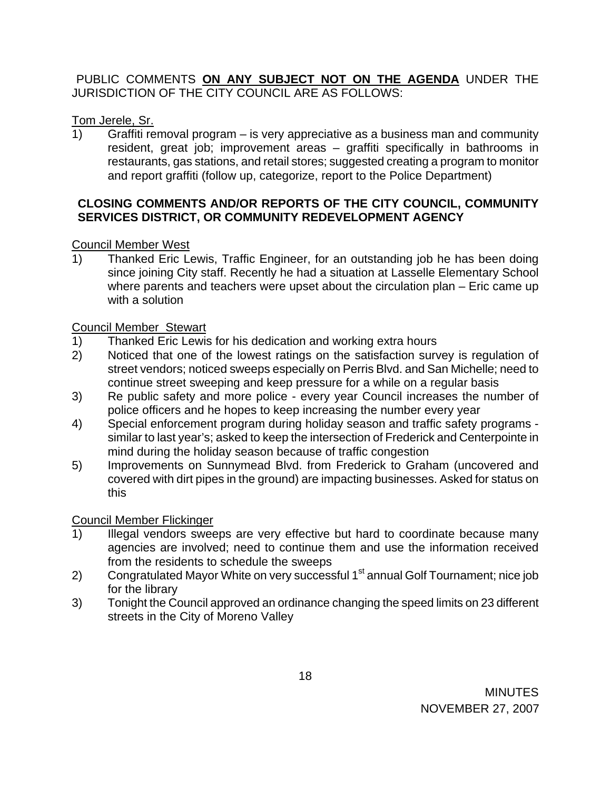# PUBLIC COMMENTS **ON ANY SUBJECT NOT ON THE AGENDA** UNDER THE JURISDICTION OF THE CITY COUNCIL ARE AS FOLLOWS:

# Tom Jerele, Sr.

1) Graffiti removal program – is very appreciative as a business man and community resident, great job; improvement areas – graffiti specifically in bathrooms in restaurants, gas stations, and retail stores; suggested creating a program to monitor and report graffiti (follow up, categorize, report to the Police Department)

# **CLOSING COMMENTS AND/OR REPORTS OF THE CITY COUNCIL, COMMUNITY SERVICES DISTRICT, OR COMMUNITY REDEVELOPMENT AGENCY**

# Council Member West

1) Thanked Eric Lewis, Traffic Engineer, for an outstanding job he has been doing since joining City staff. Recently he had a situation at Lasselle Elementary School where parents and teachers were upset about the circulation plan – Eric came up with a solution

# Council Member Stewart

- 1) Thanked Eric Lewis for his dedication and working extra hours
- 2) Noticed that one of the lowest ratings on the satisfaction survey is regulation of street vendors; noticed sweeps especially on Perris Blvd. and San Michelle; need to continue street sweeping and keep pressure for a while on a regular basis
- 3) Re public safety and more police every year Council increases the number of police officers and he hopes to keep increasing the number every year
- 4) Special enforcement program during holiday season and traffic safety programs similar to last year's; asked to keep the intersection of Frederick and Centerpointe in mind during the holiday season because of traffic congestion
- 5) Improvements on Sunnymead Blvd. from Frederick to Graham (uncovered and covered with dirt pipes in the ground) are impacting businesses. Asked for status on this

# Council Member Flickinger

- 1) Illegal vendors sweeps are very effective but hard to coordinate because many agencies are involved; need to continue them and use the information received from the residents to schedule the sweeps
- 2) Congratulated Mayor White on very successful 1<sup>st</sup> annual Golf Tournament; nice job for the library
- 3) Tonight the Council approved an ordinance changing the speed limits on 23 different streets in the City of Moreno Valley